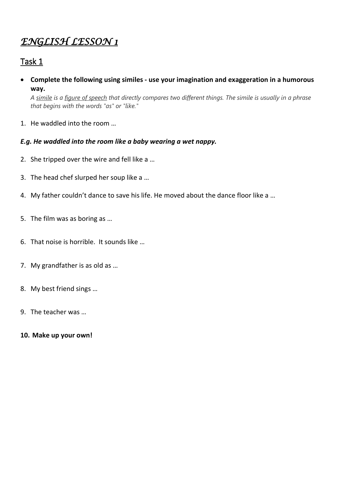### Task 1

• **Complete the following using similes - use your imagination and exaggeration in a humorous way.**

*A [simile](https://examples.yourdictionary.com/examples-of-similes.html) is a [figure of speech](https://examples.yourdictionary.com/figure-of-speech-examples.html) that directly compares two different things. The simile is usually in a phrase that begins with the words "as" or "like."*

- 1. He waddled into the room …
- *E.g. He waddled into the room like a baby wearing a wet nappy.*
- 2. She tripped over the wire and fell like a …
- 3. The head chef slurped her soup like a …
- 4. My father couldn't dance to save his life. He moved about the dance floor like a …
- 5. The film was as boring as …
- 6. That noise is horrible. It sounds like …
- 7. My grandfather is as old as …
- 8. My best friend sings …
- 9. The teacher was …
- **10. Make up your own!**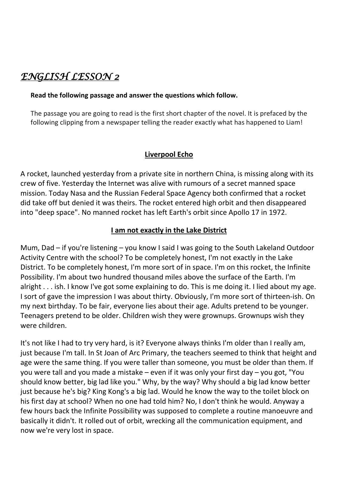#### **Read the following passage and answer the questions which follow.**

The passage you are going to read is the first short chapter of the novel. It is prefaced by the following clipping from a newspaper telling the reader exactly what has happened to Liam!

### **Liverpool Echo**

A rocket, launched yesterday from a private site in northern China, is missing along with its crew of five. Yesterday the Internet was alive with rumours of a secret manned space mission. Today Nasa and the Russian Federal Space Agency both confirmed that a rocket did take off but denied it was theirs. The rocket entered high orbit and then disappeared into "deep space". No manned rocket has left Earth's orbit since Apollo 17 in 1972.

#### **I am not exactly in the Lake District**

Mum, Dad – if you're listening – you know I said I was going to the South Lakeland Outdoor Activity Centre with the school? To be completely honest, I'm not exactly in the Lake District. To be completely honest, I'm more sort of in space. I'm on this rocket, the Infinite Possibility. I'm about two hundred thousand miles above the surface of the Earth. I'm alright . . . ish. I know I've got some explaining to do. This is me doing it. I lied about my age. I sort of gave the impression I was about thirty. Obviously, I'm more sort of thirteen-ish. On my next birthday. To be fair, everyone lies about their age. Adults pretend to be younger. Teenagers pretend to be older. Children wish they were grownups. Grownups wish they were children.

It's not like I had to try very hard, is it? Everyone always thinks I'm older than I really am, just because I'm tall. In St Joan of Arc Primary, the teachers seemed to think that height and age were the same thing. If you were taller than someone, you must be older than them. If you were tall and you made a mistake – even if it was only your first day – you got, "You should know better, big lad like you." Why, by the way? Why should a big lad know better just because he's big? King Kong's a big lad. Would he know the way to the toilet block on his first day at school? When no one had told him? No, I don't think he would. Anyway a few hours back the Infinite Possibility was supposed to complete a routine manoeuvre and basically it didn't. It rolled out of orbit, wrecking all the communication equipment, and now we're very lost in space.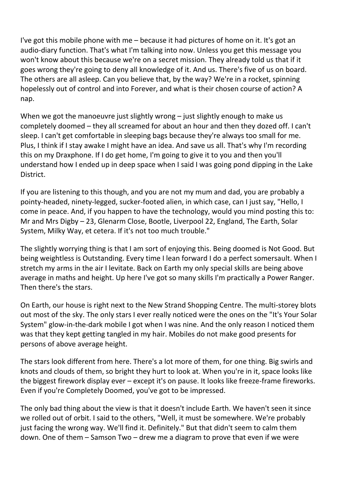I've got this mobile phone with me – because it had pictures of home on it. It's got an audio-diary function. That's what I'm talking into now. Unless you get this message you won't know about this because we're on a secret mission. They already told us that if it goes wrong they're going to deny all knowledge of it. And us. There's five of us on board. The others are all asleep. Can you believe that, by the way? We're in a rocket, spinning hopelessly out of control and into Forever, and what is their chosen course of action? A nap.

When we got the manoeuvre just slightly wrong – just slightly enough to make us completely doomed – they all screamed for about an hour and then they dozed off. I can't sleep. I can't get comfortable in sleeping bags because they're always too small for me. Plus, I think if I stay awake I might have an idea. And save us all. That's why I'm recording this on my Draxphone. If I do get home, I'm going to give it to you and then you'll understand how I ended up in deep space when I said I was going pond dipping in the Lake District.

If you are listening to this though, and you are not my mum and dad, you are probably a pointy-headed, ninety-legged, sucker-footed alien, in which case, can I just say, "Hello, I come in peace. And, if you happen to have the technology, would you mind posting this to: Mr and Mrs Digby – 23, Glenarm Close, Bootle, Liverpool 22, England, The Earth, Solar System, Milky Way, et cetera. If it's not too much trouble."

The slightly worrying thing is that I am sort of enjoying this. Being doomed is Not Good. But being weightless is Outstanding. Every time I lean forward I do a perfect somersault. When I stretch my arms in the air I levitate. Back on Earth my only special skills are being above average in maths and height. Up here I've got so many skills I'm practically a Power Ranger. Then there's the stars.

On Earth, our house is right next to the New Strand Shopping Centre. The multi-storey blots out most of the sky. The only stars I ever really noticed were the ones on the "It's Your Solar System" glow-in-the-dark mobile I got when I was nine. And the only reason I noticed them was that they kept getting tangled in my hair. Mobiles do not make good presents for persons of above average height.

The stars look different from here. There's a lot more of them, for one thing. Big swirls and knots and clouds of them, so bright they hurt to look at. When you're in it, space looks like the biggest firework display ever – except it's on pause. It looks like freeze-frame fireworks. Even if you're Completely Doomed, you've got to be impressed.

The only bad thing about the view is that it doesn't include Earth. We haven't seen it since we rolled out of orbit. I said to the others, "Well, it must be somewhere. We're probably just facing the wrong way. We'll find it. Definitely." But that didn't seem to calm them down. One of them – Samson Two – drew me a diagram to prove that even if we were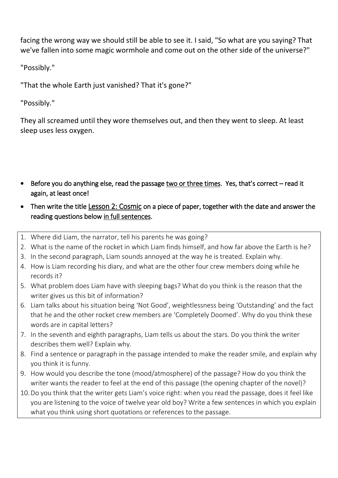facing the wrong way we should still be able to see it. I said, "So what are you saying? That we've fallen into some magic wormhole and come out on the other side of the universe?"

"Possibly."

"That the whole Earth just vanished? That it's gone?"

"Possibly."

They all screamed until they wore themselves out, and then they went to sleep. At least sleep uses less oxygen.

- Before you do anything else, read the passage two or three times. Yes, that's correct read it again, at least once!
- Then write the titleLesson 2: Cosmic on a piece of paper, together with the date and answer the reading questions below in full sentences.
- 1. Where did Liam, the narrator, tell his parents he was going?
- 2. What is the name of the rocket in which Liam finds himself, and how far above the Earth is he?
- 3. In the second paragraph, Liam sounds annoyed at the way he is treated. Explain why.
- 4. How is Liam recording his diary, and what are the other four crew members doing while he records it?
- 5. What problem does Liam have with sleeping bags? What do you think is the reason that the writer gives us this bit of information?
- 6. Liam talks about his situation being 'Not Good', weightlessness being 'Outstanding' and the fact that he and the other rocket crew members are 'Completely Doomed'. Why do you think these words are in capital letters?
- 7. In the seventh and eighth paragraphs, Liam tells us about the stars. Do you think the writer describes them well? Explain why.
- 8. Find a sentence or paragraph in the passage intended to make the reader smile, and explain why you think it is funny.
- 9. How would you describe the tone (mood/atmosphere) of the passage? How do you think the writer wants the reader to feel at the end of this passage (the opening chapter of the novel)?
- 10.Do you think that the writer gets Liam's voice right: when you read the passage, does it feel like you are listening to the voice of twelve year old boy? Write a few sentences in which you explain what you think using short quotations or references to the passage.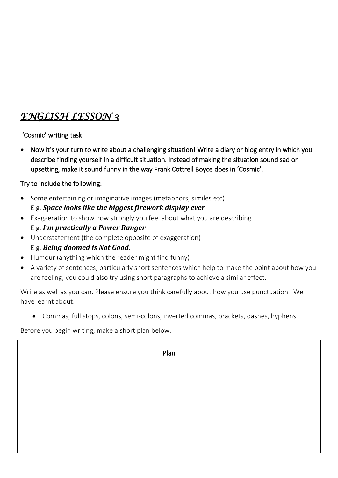'Cosmic' writing task

• Now it's your turn to write about a challenging situation! Write a diary or blog entry in which you describe finding yourself in a difficult situation. Instead of making the situation sound sad or upsetting, make it sound funny in the way Frank Cottrell Boyce does in 'Cosmic'.

### Try to include the following:

- Some entertaining or imaginative images (metaphors, similes etc) E.g. *Space looks like the biggest firework display ever*
- Exaggeration to show how strongly you feel about what you are describing E.g. *I'm practically a Power Ranger*
- Understatement (the complete opposite of exaggeration) E.g. *Being doomed is Not Good.*
- Humour (anything which the reader might find funny)
- A variety of sentences, particularly short sentences which help to make the point about how you are feeling; you could also try using short paragraphs to achieve a similar effect.

Write as well as you can. Please ensure you think carefully about how you use punctuation. We have learnt about:

• Commas, full stops, colons, semi-colons, inverted commas, brackets, dashes, hyphens

Before you begin writing, make a short plan below.

Plan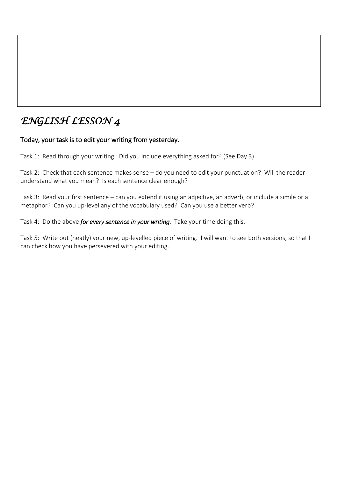#### Today, your task is to edit your writing from yesterday.

Task 1: Read through your writing. Did you include everything asked for? (See Day 3)

Task 2: Check that each sentence makes sense – do you need to edit your punctuation? Will the reader understand what you mean? Is each sentence clear enough?

Task 3: Read your first sentence – can you extend it using an adjective, an adverb, or include a simile or a metaphor? Can you up-level any of the vocabulary used? Can you use a better verb?

Task 4: Do the above *for every sentence in your writing.* Take your time doing this.

Task 5: Write out (neatly) your new, up-levelled piece of writing. I will want to see both versions, so that I can check how you have persevered with your editing.